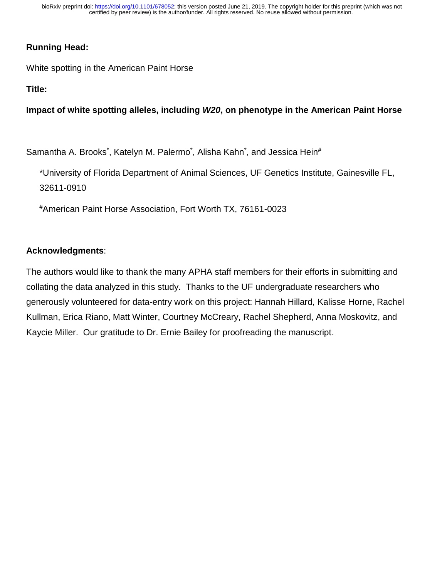# **Running Head:**

White spotting in the American Paint Horse

**Title:**

**Impact of white spotting alleles, including** *W20***, on phenotype in the American Paint Horse**

Samantha A. Brooks\*, Katelyn M. Palermo\*, Alisha Kahn\*, and Jessica Hein#

\*University of Florida Department of Animal Sciences, UF Genetics Institute, Gainesville FL, 32611-0910

#American Paint Horse Association, Fort Worth TX, 76161-0023

## **Acknowledgments**:

The authors would like to thank the many APHA staff members for their efforts in submitting and collating the data analyzed in this study. Thanks to the UF undergraduate researchers who generously volunteered for data-entry work on this project: Hannah Hillard, Kalisse Horne, Rachel Kullman, Erica Riano, Matt Winter, Courtney McCreary, Rachel Shepherd, Anna Moskovitz, and Kaycie Miller. Our gratitude to Dr. Ernie Bailey for proofreading the manuscript.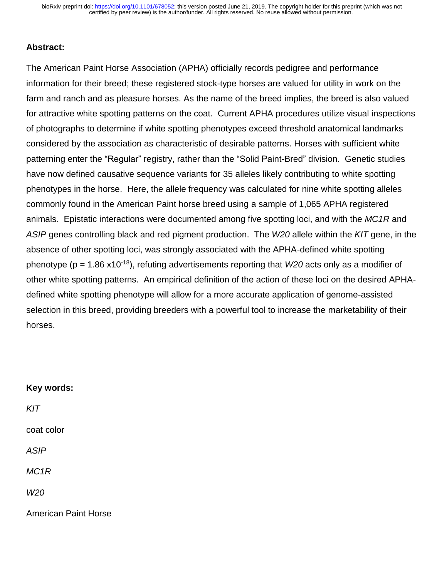#### **Abstract:**

The American Paint Horse Association (APHA) officially records pedigree and performance information for their breed; these registered stock-type horses are valued for utility in work on the farm and ranch and as pleasure horses. As the name of the breed implies, the breed is also valued for attractive white spotting patterns on the coat. Current APHA procedures utilize visual inspections of photographs to determine if white spotting phenotypes exceed threshold anatomical landmarks considered by the association as characteristic of desirable patterns. Horses with sufficient white patterning enter the "Regular" registry, rather than the "Solid Paint-Bred" division. Genetic studies have now defined causative sequence variants for 35 alleles likely contributing to white spotting phenotypes in the horse. Here, the allele frequency was calculated for nine white spotting alleles commonly found in the American Paint horse breed using a sample of 1,065 APHA registered animals. Epistatic interactions were documented among five spotting loci, and with the *MC1R* and *ASIP* genes controlling black and red pigment production. The *W20* allele within the *KIT* gene, in the absence of other spotting loci, was strongly associated with the APHA-defined white spotting phenotype (p = 1.86 x10-18), refuting advertisements reporting that *W20* acts only as a modifier of other white spotting patterns. An empirical definition of the action of these loci on the desired APHAdefined white spotting phenotype will allow for a more accurate application of genome-assisted selection in this breed, providing breeders with a powerful tool to increase the marketability of their horses.

# **Key words:** *KIT* coat color *ASIP MC1R W20* American Paint Horse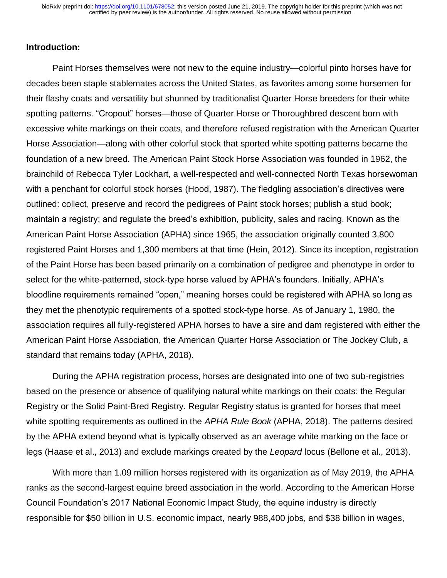## **Introduction:**

Paint Horses themselves were not new to the equine industry—colorful pinto horses have for decades been staple stablemates across the United States, as favorites among some horsemen for their flashy coats and versatility but shunned by traditionalist Quarter Horse breeders for their white spotting patterns. "Cropout" horses—those of Quarter Horse or Thoroughbred descent born with excessive white markings on their coats, and therefore refused registration with the American Quarter Horse Association—along with other colorful stock that sported white spotting patterns became the foundation of a new breed. The American Paint Stock Horse Association was founded in 1962, the brainchild of Rebecca Tyler Lockhart, a well-respected and well-connected North Texas horsewoman with a penchant for colorful stock horses (Hood, 1987). The fledgling association's directives were outlined: collect, preserve and record the pedigrees of Paint stock horses; publish a stud book; maintain a registry; and regulate the breed's exhibition, publicity, sales and racing. Known as the American Paint Horse Association (APHA) since 1965, the association originally counted 3,800 registered Paint Horses and 1,300 members at that time (Hein, 2012). Since its inception, registration of the Paint Horse has been based primarily on a combination of pedigree and phenotype in order to select for the white-patterned, stock-type horse valued by APHA's founders. Initially, APHA's bloodline requirements remained "open," meaning horses could be registered with APHA so long as they met the phenotypic requirements of a spotted stock-type horse. As of January 1, 1980, the association requires all fully-registered APHA horses to have a sire and dam registered with either the American Paint Horse Association, the American Quarter Horse Association or The Jockey Club, a standard that remains today (APHA, 2018).

During the APHA registration process, horses are designated into one of two sub-registries based on the presence or absence of qualifying natural white markings on their coats: the Regular Registry or the Solid Paint-Bred Registry. Regular Registry status is granted for horses that meet white spotting requirements as outlined in the *APHA Rule Book* (APHA, 2018). The patterns desired by the APHA extend beyond what is typically observed as an average white marking on the face or legs (Haase et al., 2013) and exclude markings created by the *Leopard* locus (Bellone et al., 2013).

With more than 1.09 million horses registered with its organization as of May 2019, the APHA ranks as the second-largest equine breed association in the world. According to the American Horse Council Foundation's 2017 National Economic Impact Study, the equine industry is directly responsible for \$50 billion in U.S. economic impact, nearly 988,400 jobs, and \$38 billion in wages,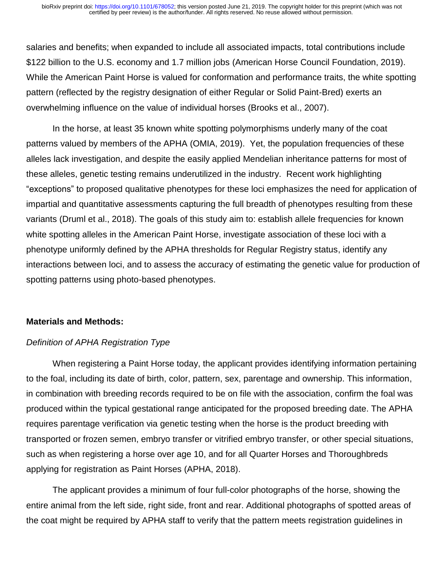salaries and benefits; when expanded to include all associated impacts, total contributions include \$122 billion to the U.S. economy and 1.7 million jobs (American Horse Council Foundation, 2019). While the American Paint Horse is valued for conformation and performance traits, the white spotting pattern (reflected by the registry designation of either Regular or Solid Paint-Bred) exerts an overwhelming influence on the value of individual horses (Brooks et al., 2007).

In the horse, at least 35 known white spotting polymorphisms underly many of the coat patterns valued by members of the APHA (OMIA, 2019). Yet, the population frequencies of these alleles lack investigation, and despite the easily applied Mendelian inheritance patterns for most of these alleles, genetic testing remains underutilized in the industry. Recent work highlighting "exceptions" to proposed qualitative phenotypes for these loci emphasizes the need for application of impartial and quantitative assessments capturing the full breadth of phenotypes resulting from these variants (Druml et al., 2018). The goals of this study aim to: establish allele frequencies for known white spotting alleles in the American Paint Horse, investigate association of these loci with a phenotype uniformly defined by the APHA thresholds for Regular Registry status, identify any interactions between loci, and to assess the accuracy of estimating the genetic value for production of spotting patterns using photo-based phenotypes.

## **Materials and Methods:**

## *Definition of APHA Registration Type*

When registering a Paint Horse today, the applicant provides identifying information pertaining to the foal, including its date of birth, color, pattern, sex, parentage and ownership. This information, in combination with breeding records required to be on file with the association, confirm the foal was produced within the typical gestational range anticipated for the proposed breeding date. The APHA requires parentage verification via genetic testing when the horse is the product breeding with transported or frozen semen, embryo transfer or vitrified embryo transfer, or other special situations, such as when registering a horse over age 10, and for all Quarter Horses and Thoroughbreds applying for registration as Paint Horses (APHA, 2018).

The applicant provides a minimum of four full-color photographs of the horse, showing the entire animal from the left side, right side, front and rear. Additional photographs of spotted areas of the coat might be required by APHA staff to verify that the pattern meets registration guidelines in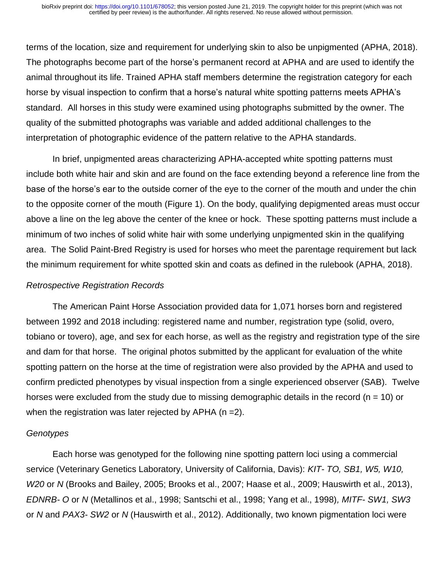terms of the location, size and requirement for underlying skin to also be unpigmented (APHA, 2018). The photographs become part of the horse's permanent record at APHA and are used to identify the animal throughout its life. Trained APHA staff members determine the registration category for each horse by visual inspection to confirm that a horse's natural white spotting patterns meets APHA's standard. All horses in this study were examined using photographs submitted by the owner. The quality of the submitted photographs was variable and added additional challenges to the interpretation of photographic evidence of the pattern relative to the APHA standards.

In brief, unpigmented areas characterizing APHA-accepted white spotting patterns must include both white hair and skin and are found on the face extending beyond a reference line from the base of the horse's ear to the outside corner of the eye to the corner of the mouth and under the chin to the opposite corner of the mouth (Figure 1). On the body, qualifying depigmented areas must occur above a line on the leg above the center of the knee or hock. These spotting patterns must include a minimum of two inches of solid white hair with some underlying unpigmented skin in the qualifying area. The Solid Paint-Bred Registry is used for horses who meet the parentage requirement but lack the minimum requirement for white spotted skin and coats as defined in the rulebook (APHA, 2018).

#### *Retrospective Registration Records*

The American Paint Horse Association provided data for 1,071 horses born and registered between 1992 and 2018 including: registered name and number, registration type (solid, overo, tobiano or tovero), age, and sex for each horse, as well as the registry and registration type of the sire and dam for that horse. The original photos submitted by the applicant for evaluation of the white spotting pattern on the horse at the time of registration were also provided by the APHA and used to confirm predicted phenotypes by visual inspection from a single experienced observer (SAB). Twelve horses were excluded from the study due to missing demographic details in the record ( $n = 10$ ) or when the registration was later rejected by APHA ( $n = 2$ ).

## *Genotypes*

Each horse was genotyped for the following nine spotting pattern loci using a commercial service (Veterinary Genetics Laboratory, University of California, Davis): *KIT- TO, SB1, W5, W10, W20* or *N* (Brooks and Bailey, 2005; Brooks et al., 2007; Haase et al., 2009; Hauswirth et al., 2013), *EDNRB- O* or *N* (Metallinos et al., 1998; Santschi et al., 1998; Yang et al., 1998)*, MITF- SW1, SW3*  or *N* and *PAX3- SW2* or *N* (Hauswirth et al., 2012). Additionally, two known pigmentation loci were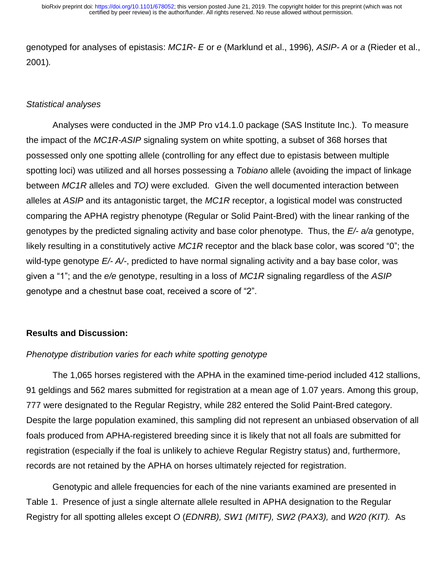genotyped for analyses of epistasis: *MC1R- E* or *e* (Marklund et al., 1996)*, ASIP- A* or *a* (Rieder et al., 2001)*.*

## *Statistical analyses*

Analyses were conducted in the JMP Pro v14.1.0 package (SAS Institute Inc.). To measure the impact of the *MC1R-ASIP* signaling system on white spotting, a subset of 368 horses that possessed only one spotting allele (controlling for any effect due to epistasis between multiple spotting loci) was utilized and all horses possessing a *Tobiano* allele (avoiding the impact of linkage between *MC1R* alleles and *TO)* were excluded*.* Given the well documented interaction between alleles at *ASIP* and its antagonistic target, the *MC1R* receptor, a logistical model was constructed comparing the APHA registry phenotype (Regular or Solid Paint-Bred) with the linear ranking of the genotypes by the predicted signaling activity and base color phenotype. Thus, the *E/- a/a* genotype, likely resulting in a constitutively active *MC1R* receptor and the black base color, was scored "0"; the wild-type genotype *E/- A/-*, predicted to have normal signaling activity and a bay base color, was given a "1"; and the *e/e* genotype, resulting in a loss of *MC1R* signaling regardless of the *ASIP* genotype and a chestnut base coat, received a score of "2".

## **Results and Discussion:**

## *Phenotype distribution varies for each white spotting genotype*

The 1,065 horses registered with the APHA in the examined time-period included 412 stallions, 91 geldings and 562 mares submitted for registration at a mean age of 1.07 years. Among this group, 777 were designated to the Regular Registry, while 282 entered the Solid Paint-Bred category. Despite the large population examined, this sampling did not represent an unbiased observation of all foals produced from APHA-registered breeding since it is likely that not all foals are submitted for registration (especially if the foal is unlikely to achieve Regular Registry status) and, furthermore, records are not retained by the APHA on horses ultimately rejected for registration.

Genotypic and allele frequencies for each of the nine variants examined are presented in Table 1. Presence of just a single alternate allele resulted in APHA designation to the Regular Registry for all spotting alleles except *O* (*EDNRB), SW1 (MITF), SW2 (PAX3),* and *W20 (KIT).* As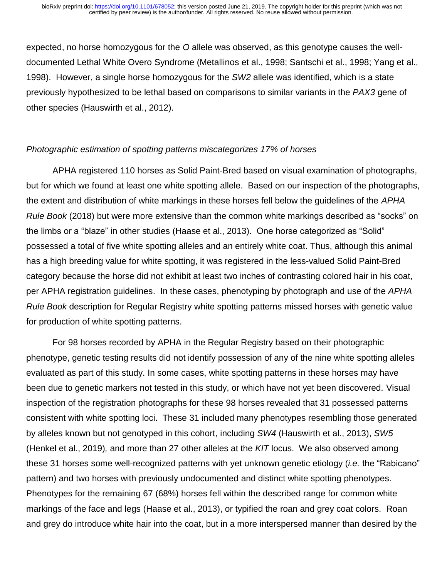expected, no horse homozygous for the *O* allele was observed, as this genotype causes the welldocumented Lethal White Overo Syndrome (Metallinos et al., 1998; Santschi et al., 1998; Yang et al., 1998). However, a single horse homozygous for the *SW2* allele was identified, which is a state previously hypothesized to be lethal based on comparisons to similar variants in the *PAX3* gene of other species (Hauswirth et al., 2012).

## *Photographic estimation of spotting patterns miscategorizes 17% of horses*

APHA registered 110 horses as Solid Paint-Bred based on visual examination of photographs, but for which we found at least one white spotting allele. Based on our inspection of the photographs, the extent and distribution of white markings in these horses fell below the guidelines of the *APHA Rule Book* (2018) but were more extensive than the common white markings described as "socks" on the limbs or a "blaze" in other studies (Haase et al., 2013). One horse categorized as "Solid" possessed a total of five white spotting alleles and an entirely white coat. Thus, although this animal has a high breeding value for white spotting, it was registered in the less-valued Solid Paint-Bred category because the horse did not exhibit at least two inches of contrasting colored hair in his coat, per APHA registration guidelines. In these cases, phenotyping by photograph and use of the *APHA Rule Book* description for Regular Registry white spotting patterns missed horses with genetic value for production of white spotting patterns.

For 98 horses recorded by APHA in the Regular Registry based on their photographic phenotype, genetic testing results did not identify possession of any of the nine white spotting alleles evaluated as part of this study. In some cases, white spotting patterns in these horses may have been due to genetic markers not tested in this study, or which have not yet been discovered. Visual inspection of the registration photographs for these 98 horses revealed that 31 possessed patterns consistent with white spotting loci. These 31 included many phenotypes resembling those generated by alleles known but not genotyped in this cohort, including *SW4* (Hauswirth et al., 2013), *SW5* (Henkel et al., 2019)*,* and more than 27 other alleles at the *KIT* locus. We also observed among these 31 horses some well-recognized patterns with yet unknown genetic etiology (*i.e.* the "Rabicano" pattern) and two horses with previously undocumented and distinct white spotting phenotypes. Phenotypes for the remaining 67 (68%) horses fell within the described range for common white markings of the face and legs (Haase et al., 2013), or typified the roan and grey coat colors. Roan and grey do introduce white hair into the coat, but in a more interspersed manner than desired by the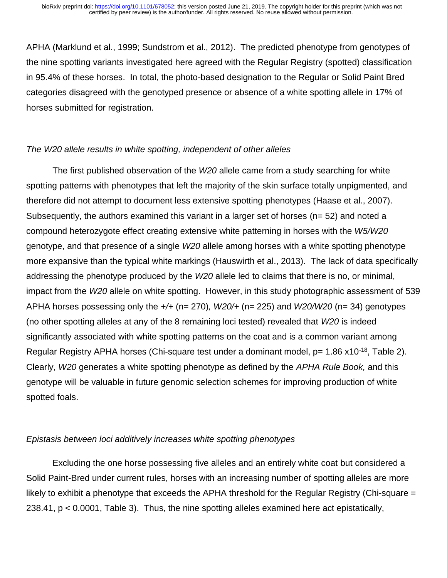APHA (Marklund et al., 1999; Sundstrom et al., 2012). The predicted phenotype from genotypes of the nine spotting variants investigated here agreed with the Regular Registry (spotted) classification in 95.4% of these horses. In total, the photo-based designation to the Regular or Solid Paint Bred categories disagreed with the genotyped presence or absence of a white spotting allele in 17% of horses submitted for registration.

## *The W20 allele results in white spotting, independent of other alleles*

The first published observation of the *W20* allele came from a study searching for white spotting patterns with phenotypes that left the majority of the skin surface totally unpigmented, and therefore did not attempt to document less extensive spotting phenotypes (Haase et al., 2007). Subsequently, the authors examined this variant in a larger set of horses ( $n=$  52) and noted a compound heterozygote effect creating extensive white patterning in horses with the *W5/W20*  genotype, and that presence of a single *W20* allele among horses with a white spotting phenotype more expansive than the typical white markings (Hauswirth et al., 2013). The lack of data specifically addressing the phenotype produced by the *W20* allele led to claims that there is no, or minimal, impact from the *W20* allele on white spotting. However, in this study photographic assessment of 539 APHA horses possessing only the *+/+* (n= 270)*, W20/+* (n= 225) and *W20/W20* (n= 34) genotypes (no other spotting alleles at any of the 8 remaining loci tested) revealed that *W20* is indeed significantly associated with white spotting patterns on the coat and is a common variant among Regular Registry APHA horses (Chi-square test under a dominant model,  $p= 1.86 \times 10^{-18}$ , Table 2). Clearly, *W20* generates a white spotting phenotype as defined by the *APHA Rule Book,* and this genotype will be valuable in future genomic selection schemes for improving production of white spotted foals.

## *Epistasis between loci additively increases white spotting phenotypes*

Excluding the one horse possessing five alleles and an entirely white coat but considered a Solid Paint-Bred under current rules, horses with an increasing number of spotting alleles are more likely to exhibit a phenotype that exceeds the APHA threshold for the Regular Registry (Chi-square = 238.41, p < 0.0001, Table 3). Thus, the nine spotting alleles examined here act epistatically,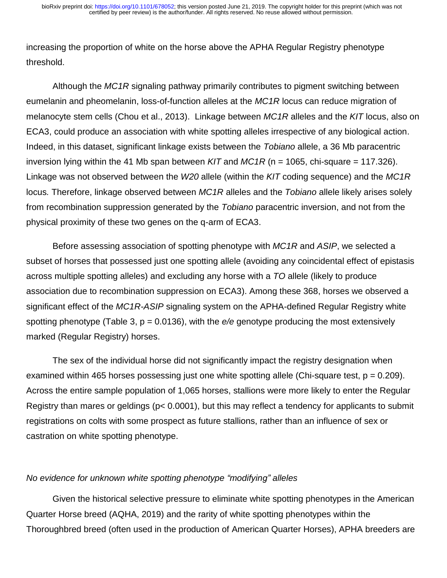increasing the proportion of white on the horse above the APHA Regular Registry phenotype threshold.

Although the *MC1R* signaling pathway primarily contributes to pigment switching between eumelanin and pheomelanin, loss-of-function alleles at the *MC1R* locus can reduce migration of melanocyte stem cells (Chou et al., 2013). Linkage between *MC1R* alleles and the *KIT* locus, also on ECA3, could produce an association with white spotting alleles irrespective of any biological action. Indeed, in this dataset, significant linkage exists between the *Tobiano* allele, a 36 Mb paracentric inversion lying within the 41 Mb span between *KIT* and *MC1R* (n = 1065, chi-square = 117.326). Linkage was not observed between the *W20* allele (within the *KIT* coding sequence) and the *MC1R*  locus*.* Therefore, linkage observed between *MC1R* alleles and the *Tobiano* allele likely arises solely from recombination suppression generated by the *Tobiano* paracentric inversion, and not from the physical proximity of these two genes on the q-arm of ECA3.

Before assessing association of spotting phenotype with *MC1R* and *ASIP*, we selected a subset of horses that possessed just one spotting allele (avoiding any coincidental effect of epistasis across multiple spotting alleles) and excluding any horse with a *TO* allele (likely to produce association due to recombination suppression on ECA3). Among these 368, horses we observed a significant effect of the *MC1R-ASIP* signaling system on the APHA-defined Regular Registry white spotting phenotype (Table 3, p = 0.0136), with the *e/e* genotype producing the most extensively marked (Regular Registry) horses.

The sex of the individual horse did not significantly impact the registry designation when examined within 465 horses possessing just one white spotting allele (Chi-square test,  $p = 0.209$ ). Across the entire sample population of 1,065 horses, stallions were more likely to enter the Regular Registry than mares or geldings (p< 0.0001), but this may reflect a tendency for applicants to submit registrations on colts with some prospect as future stallions, rather than an influence of sex or castration on white spotting phenotype.

## *No evidence for unknown white spotting phenotype "modifying" alleles*

Given the historical selective pressure to eliminate white spotting phenotypes in the American Quarter Horse breed (AQHA, 2019) and the rarity of white spotting phenotypes within the Thoroughbred breed (often used in the production of American Quarter Horses), APHA breeders are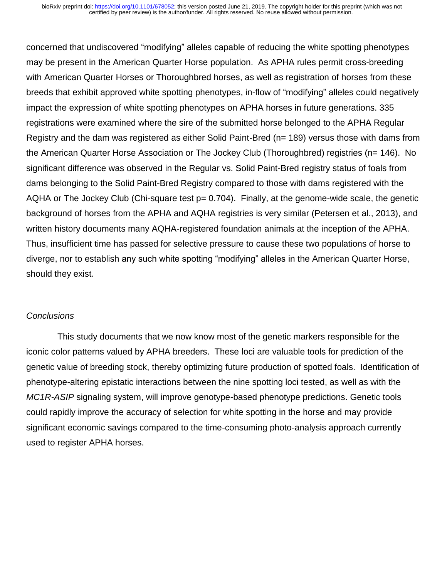concerned that undiscovered "modifying" alleles capable of reducing the white spotting phenotypes may be present in the American Quarter Horse population. As APHA rules permit cross-breeding with American Quarter Horses or Thoroughbred horses, as well as registration of horses from these breeds that exhibit approved white spotting phenotypes, in-flow of "modifying" alleles could negatively impact the expression of white spotting phenotypes on APHA horses in future generations. 335 registrations were examined where the sire of the submitted horse belonged to the APHA Regular Registry and the dam was registered as either Solid Paint-Bred (n= 189) versus those with dams from the American Quarter Horse Association or The Jockey Club (Thoroughbred) registries (n= 146). No significant difference was observed in the Regular vs. Solid Paint-Bred registry status of foals from dams belonging to the Solid Paint-Bred Registry compared to those with dams registered with the AQHA or The Jockey Club (Chi-square test  $p = 0.704$ ). Finally, at the genome-wide scale, the genetic background of horses from the APHA and AQHA registries is very similar (Petersen et al., 2013), and written history documents many AQHA-registered foundation animals at the inception of the APHA. Thus, insufficient time has passed for selective pressure to cause these two populations of horse to diverge, nor to establish any such white spotting "modifying" alleles in the American Quarter Horse, should they exist.

## *Conclusions*

 This study documents that we now know most of the genetic markers responsible for the iconic color patterns valued by APHA breeders. These loci are valuable tools for prediction of the genetic value of breeding stock, thereby optimizing future production of spotted foals. Identification of phenotype-altering epistatic interactions between the nine spotting loci tested, as well as with the *MC1R-ASIP* signaling system, will improve genotype-based phenotype predictions. Genetic tools could rapidly improve the accuracy of selection for white spotting in the horse and may provide significant economic savings compared to the time-consuming photo-analysis approach currently used to register APHA horses.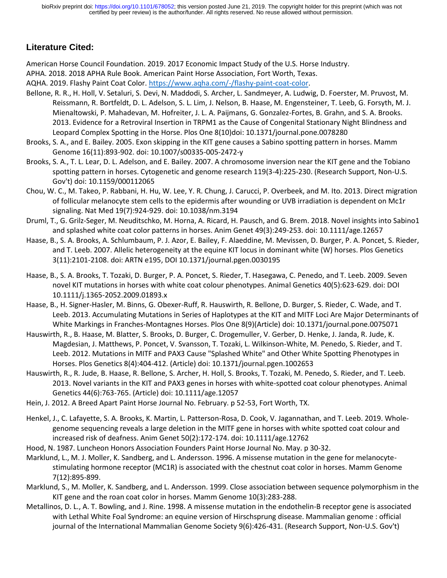# **Literature Cited:**

American Horse Council Foundation. 2019. 2017 Economic Impact Study of the U.S. Horse Industry.

APHA. 2018. 2018 APHA Rule Book. American Paint Horse Association, Fort Worth, Texas.

AQHA. 2019. Flashy Paint Coat Color. [https://www.aqha.com/-/flashy-paint-coat-color.](https://www.aqha.com/-/flashy-paint-coat-color)

- Bellone, R. R., H. Holl, V. Setaluri, S. Devi, N. Maddodi, S. Archer, L. Sandmeyer, A. Ludwig, D. Foerster, M. Pruvost, M. Reissmann, R. Bortfeldt, D. L. Adelson, S. L. Lim, J. Nelson, B. Haase, M. Engensteiner, T. Leeb, G. Forsyth, M. J. Mienaltowski, P. Mahadevan, M. Hofreiter, J. L. A. Paijmans, G. Gonzalez-Fortes, B. Grahn, and S. A. Brooks. 2013. Evidence for a Retroviral Insertion in TRPM1 as the Cause of Congenital Stationary Night Blindness and Leopard Complex Spotting in the Horse. Plos One 8(10)doi: 10.1371/journal.pone.0078280
- Brooks, S. A., and E. Bailey. 2005. Exon skipping in the KIT gene causes a Sabino spotting pattern in horses. Mamm Genome 16(11):893-902. doi: 10.1007/s00335-005-2472-y
- Brooks, S. A., T. L. Lear, D. L. Adelson, and E. Bailey. 2007. A chromosome inversion near the KIT gene and the Tobiano spotting pattern in horses. Cytogenetic and genome research 119(3-4):225-230. (Research Support, Non-U.S. Gov't) doi: 10.1159/000112065
- Chou, W. C., M. Takeo, P. Rabbani, H. Hu, W. Lee, Y. R. Chung, J. Carucci, P. Overbeek, and M. Ito. 2013. Direct migration of follicular melanocyte stem cells to the epidermis after wounding or UVB irradiation is dependent on Mc1r signaling. Nat Med 19(7):924-929. doi: 10.1038/nm.3194
- Druml, T., G. Grilz-Seger, M. Neuditschko, M. Horna, A. Ricard, H. Pausch, and G. Brem. 2018. Novel insights into Sabino1 and splashed white coat color patterns in horses. Anim Genet 49(3):249-253. doi: 10.1111/age.12657
- Haase, B., S. A. Brooks, A. Schlumbaum, P. J. Azor, E. Bailey, F. Alaeddine, M. Mevissen, D. Burger, P. A. Poncet, S. Rieder, and T. Leeb. 2007. Allelic heterogeneity at the equine KIT locus in dominant white (W) horses. Plos Genetics 3(11):2101-2108. doi: ARTN e195, DOI 10.1371/journal.pgen.0030195
- Haase, B., S. A. Brooks, T. Tozaki, D. Burger, P. A. Poncet, S. Rieder, T. Hasegawa, C. Penedo, and T. Leeb. 2009. Seven novel KIT mutations in horses with white coat colour phenotypes. Animal Genetics 40(5):623-629. doi: DOI 10.1111/j.1365-2052.2009.01893.x
- Haase, B., H. Signer-Hasler, M. Binns, G. Obexer-Ruff, R. Hauswirth, R. Bellone, D. Burger, S. Rieder, C. Wade, and T. Leeb. 2013. Accumulating Mutations in Series of Haplotypes at the KIT and MITF Loci Are Major Determinants of White Markings in Franches-Montagnes Horses. Plos One 8(9)(Article) doi: 10.1371/journal.pone.0075071
- Hauswirth, R., B. Haase, M. Blatter, S. Brooks, D. Burger, C. Drogemuller, V. Gerber, D. Henke, J. Janda, R. Jude, K. Magdesian, J. Matthews, P. Poncet, V. Svansson, T. Tozaki, L. Wilkinson-White, M. Penedo, S. Rieder, and T. Leeb. 2012. Mutations in MITF and PAX3 Cause "Splashed White" and Other White Spotting Phenotypes in Horses. Plos Genetics 8(4):404-412. (Article) doi: 10.1371/journal.pgen.1002653
- Hauswirth, R., R. Jude, B. Haase, R. Bellone, S. Archer, H. Holl, S. Brooks, T. Tozaki, M. Penedo, S. Rieder, and T. Leeb. 2013. Novel variants in the KIT and PAX3 genes in horses with white-spotted coat colour phenotypes. Animal Genetics 44(6):763-765. (Article) doi: 10.1111/age.12057
- Hein, J. 2012. A Breed Apart Paint Horse Journal No. February. p 52-53, Fort Worth, TX.
- Henkel, J., C. Lafayette, S. A. Brooks, K. Martin, L. Patterson-Rosa, D. Cook, V. Jagannathan, and T. Leeb. 2019. Wholegenome sequencing reveals a large deletion in the MITF gene in horses with white spotted coat colour and increased risk of deafness. Anim Genet 50(2):172-174. doi: 10.1111/age.12762
- Hood, N. 1987. Luncheon Honors Association Founders Paint Horse Journal No. May. p 30-32.
- Marklund, L., M. J. Moller, K. Sandberg, and L. Andersson. 1996. A missense mutation in the gene for melanocytestimulating hormone receptor (MC1R) is associated with the chestnut coat color in horses. Mamm Genome 7(12):895-899.
- Marklund, S., M. Moller, K. Sandberg, and L. Andersson. 1999. Close association between sequence polymorphism in the KIT gene and the roan coat color in horses. Mamm Genome 10(3):283-288.
- Metallinos, D. L., A. T. Bowling, and J. Rine. 1998. A missense mutation in the endothelin-B receptor gene is associated with Lethal White Foal Syndrome: an equine version of Hirschsprung disease. Mammalian genome : official journal of the International Mammalian Genome Society 9(6):426-431. (Research Support, Non-U.S. Gov't)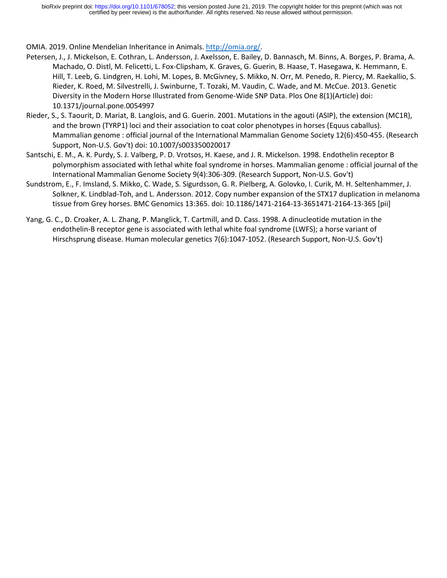OMIA. 2019. Online Mendelian Inheritance in Animals. [http://omia.org/.](http://omia.org/)

- Petersen, J., J. Mickelson, E. Cothran, L. Andersson, J. Axelsson, E. Bailey, D. Bannasch, M. Binns, A. Borges, P. Brama, A. Machado, O. Distl, M. Felicetti, L. Fox-Clipsham, K. Graves, G. Guerin, B. Haase, T. Hasegawa, K. Hemmann, E. Hill, T. Leeb, G. Lindgren, H. Lohi, M. Lopes, B. McGivney, S. Mikko, N. Orr, M. Penedo, R. Piercy, M. Raekallio, S. Rieder, K. Roed, M. Silvestrelli, J. Swinburne, T. Tozaki, M. Vaudin, C. Wade, and M. McCue. 2013. Genetic Diversity in the Modern Horse Illustrated from Genome-Wide SNP Data. Plos One 8(1)(Article) doi: 10.1371/journal.pone.0054997
- Rieder, S., S. Taourit, D. Mariat, B. Langlois, and G. Guerin. 2001. Mutations in the agouti (ASIP), the extension (MC1R), and the brown (TYRP1) loci and their association to coat color phenotypes in horses (Equus caballus). Mammalian genome : official journal of the International Mammalian Genome Society 12(6):450-455. (Research Support, Non-U.S. Gov't) doi: 10.1007/s003350020017
- Santschi, E. M., A. K. Purdy, S. J. Valberg, P. D. Vrotsos, H. Kaese, and J. R. Mickelson. 1998. Endothelin receptor B polymorphism associated with lethal white foal syndrome in horses. Mammalian genome : official journal of the International Mammalian Genome Society 9(4):306-309. (Research Support, Non-U.S. Gov't)
- Sundstrom, E., F. Imsland, S. Mikko, C. Wade, S. Sigurdsson, G. R. Pielberg, A. Golovko, I. Curik, M. H. Seltenhammer, J. Solkner, K. Lindblad-Toh, and L. Andersson. 2012. Copy number expansion of the STX17 duplication in melanoma tissue from Grey horses. BMC Genomics 13:365. doi: 10.1186/1471-2164-13-3651471-2164-13-365 [pii]
- Yang, G. C., D. Croaker, A. L. Zhang, P. Manglick, T. Cartmill, and D. Cass. 1998. A dinucleotide mutation in the endothelin-B receptor gene is associated with lethal white foal syndrome (LWFS); a horse variant of Hirschsprung disease. Human molecular genetics 7(6):1047-1052. (Research Support, Non-U.S. Gov't)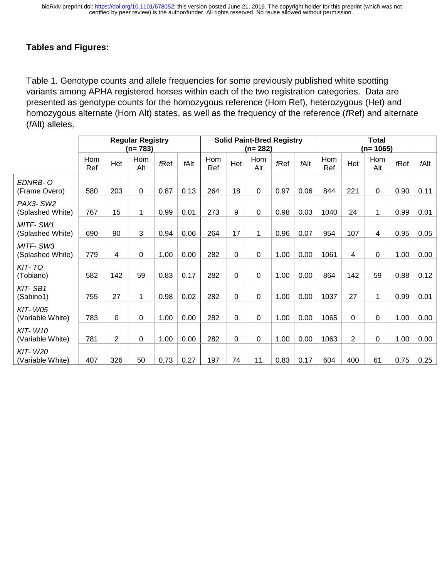## **Tables and Figures:**

Table 1. Genotype counts and allele frequencies for some previously published white spotting variants among APHA registered horses within each of the two registration categories. Data are presented as genotype counts for the homozygous reference (Hom Ref), heterozygous (Het) and homozygous alternate (Hom Alt) states, as well as the frequency of the reference (*f*Ref) and alternate (*f*Alt) alleles.

|                                    | <b>Regular Registry</b><br>$(n=783)$ |                |            |            | <b>Solid Paint-Bred Registry</b><br>$(n=282)$ |            |          |             | <b>Total</b><br>$(n=1065)$ |      |            |                |             |            |      |
|------------------------------------|--------------------------------------|----------------|------------|------------|-----------------------------------------------|------------|----------|-------------|----------------------------|------|------------|----------------|-------------|------------|------|
|                                    | Hom<br>Ref                           | Het            | Hom<br>Alt | <b>Ref</b> | fAlt                                          | Hom<br>Ref | Het      | Hom<br>Alt  | fRef                       | fAlt | Hom<br>Ref | Het            | Hom<br>Alt  | <b>Ref</b> | fAlt |
| EDNRB-O<br>(Frame Overo)           | 580                                  | 203            | 0          | 0.87       | 0.13                                          | 264        | 18       | $\mathbf 0$ | 0.97                       | 0.06 | 844        | 221            | $\mathbf 0$ | 0.90       | 0.11 |
| PAX3-SW2<br>(Splashed White)       | 767                                  | 15             | 1          | 0.99       | 0.01                                          | 273        | 9        | $\mathbf 0$ | 0.98                       | 0.03 | 1040       | 24             | 1           | 0.99       | 0.01 |
| MITF-SW1<br>(Splashed White)       | 690                                  | 90             | 3          | 0.94       | 0.06                                          | 264        | 17       | 1           | 0.96                       | 0.07 | 954        | 107            | 4           | 0.95       | 0.05 |
| MITF-SW3<br>(Splashed White)       | 779                                  | 4              | 0          | 1.00       | 0.00                                          | 282        | $\Omega$ | $\Omega$    | 1.00                       | 0.00 | 1061       | 4              | 0           | 1.00       | 0.00 |
| KIT-TO<br>(Tobiano)                | 582                                  | 142            | 59         | 0.83       | 0.17                                          | 282        | $\Omega$ | $\Omega$    | 1.00                       | 0.00 | 864        | 142            | 59          | 0.88       | 0.12 |
| KIT-SB1<br>(Sabino1)               | 755                                  | 27             | 1          | 0.98       | 0.02                                          | 282        | 0        | 0           | 1.00                       | 0.00 | 1037       | 27             | 1           | 0.99       | 0.01 |
| <b>KIT-W05</b><br>(Variable White) | 783                                  | 0              | 0          | 1.00       | 0.00                                          | 282        | $\Omega$ | $\mathbf 0$ | 1.00                       | 0.00 | 1065       | 0              | $\mathbf 0$ | 1.00       | 0.00 |
| <b>KIT-W10</b><br>(Variable White) | 781                                  | $\overline{2}$ | 0          | 1.00       | 0.00                                          | 282        | $\Omega$ | $\mathbf 0$ | 1.00                       | 0.00 | 1063       | $\overline{2}$ | 0           | 1.00       | 0.00 |
| <b>KIT-W20</b><br>(Variable White) | 407                                  | 326            | 50         | 0.73       | 0.27                                          | 197        | 74       | 11          | 0.83                       | 0.17 | 604        | 400            | 61          | 0.75       | 0.25 |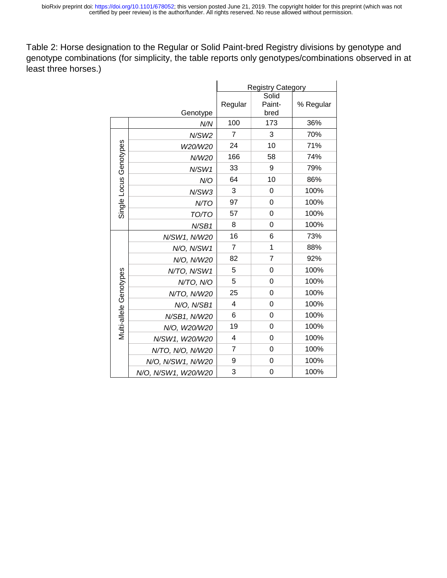Table 2: Horse designation to the Regular or Solid Paint-bred Registry divisions by genotype and genotype combinations (for simplicity, the table reports only genotypes/combinations observed in at least three horses.)

|                        |                     | <b>Registry Category</b> |                         |           |  |
|------------------------|---------------------|--------------------------|-------------------------|-----------|--|
|                        | Genotype            | Regular                  | Solid<br>Paint-<br>bred | % Regular |  |
|                        | N/N                 | 100                      | 173                     | 36%       |  |
|                        | N/SW2               | $\overline{7}$           | 3                       | 70%       |  |
|                        | W20/W20             | 24                       | 10                      | 71%       |  |
|                        | N/W20               | 166                      | 58                      | 74%       |  |
| Single Locus Genotypes | N/SW1               | 33                       | 9                       | 79%       |  |
|                        | N/O                 | 64                       | 10                      | 86%       |  |
|                        | N/SW3               | 3                        | 0                       | 100%      |  |
|                        | N/TO                | 97                       | 0                       | 100%      |  |
|                        | TO/TO               | 57                       | $\overline{0}$          | 100%      |  |
|                        | N/SB1               | 8                        | $\mathbf 0$             | 100%      |  |
| Multi-allele Genotypes | N/SW1, N/W20        | 16                       | 6                       | 73%       |  |
|                        | N/O, N/SW1          | 7                        | 1                       | 88%       |  |
|                        | N/O, N/W20          | 82                       | 7                       | 92%       |  |
|                        | N/TO, N/SW1         | 5                        | $\mathbf 0$             | 100%      |  |
|                        | N/TO, N/O           | 5                        | $\mathbf 0$             | 100%      |  |
|                        | N/TO, N/W20         | 25                       | $\overline{0}$          | 100%      |  |
|                        | N/O, N/SB1          | 4                        | 0                       | 100%      |  |
|                        | N/SB1, N/W20        | 6                        | 0                       | 100%      |  |
|                        | N/O, W20/W20        | 19                       | 0                       | 100%      |  |
|                        | N/SW1, W20/W20      | $\overline{4}$           | 0                       | 100%      |  |
|                        | N/TO, N/O, N/W20    | $\overline{7}$           | $\overline{0}$          | 100%      |  |
|                        | N/O, N/SW1, N/W20   | 9                        | $\mathbf 0$             | 100%      |  |
|                        | N/O, N/SW1, W20/W20 | 3                        | $\mathbf 0$             | 100%      |  |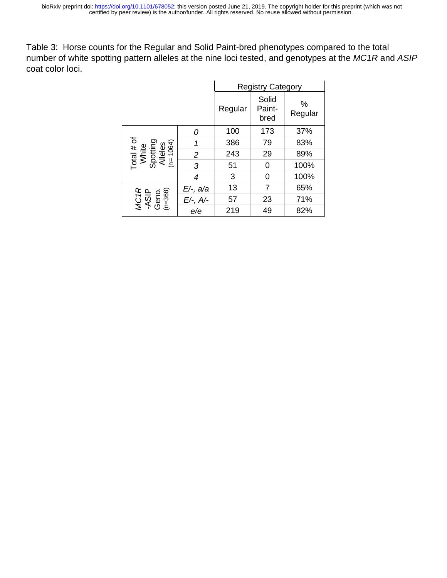Table 3: Horse counts for the Regular and Solid Paint-bred phenotypes compared to the total number of white spotting pattern alleles at the nine loci tested, and genotypes at the *MC1R* and *ASIP*  coat color loci.

|                                                                   |                | <b>Registry Category</b> |                         |              |
|-------------------------------------------------------------------|----------------|--------------------------|-------------------------|--------------|
|                                                                   |                | Regular                  | Solid<br>Paint-<br>bred | %<br>Regular |
|                                                                   | Ω              | 100                      | 173                     | 37%          |
| Total # of<br>White<br>Spotting<br>Alleles<br>Alleles<br>(n=1064) | 1              | 386                      | 79                      | 83%          |
|                                                                   | $\overline{2}$ | 243                      | 29                      | 89%          |
|                                                                   | 3              | 51                       | 0                       | 100%         |
|                                                                   | 4              | 3                        | 0                       | 100%         |
|                                                                   | E/-, a/a       | 13                       | $\overline{7}$          | 65%          |
| $MCH$<br>$ASIP$<br>$GenO.GenO. (n=368)$                           | $E/-$ , A/-    | 57                       | 23                      | 71%          |
|                                                                   | e/e            | 219                      | 49                      | 82%          |